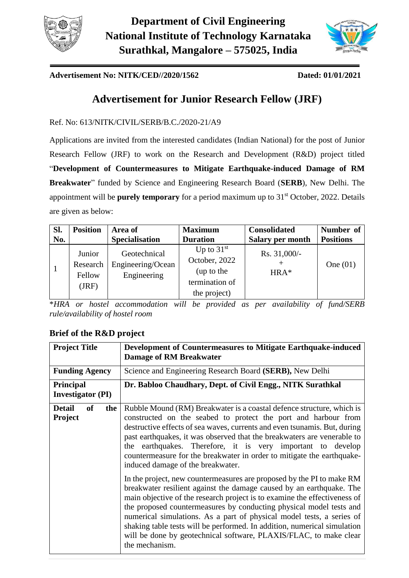



### **Advertisement No: NITK/CED//2020/1562 Dated: 01/01/2021**

# **Advertisement for Junior Research Fellow (JRF)**

Ref. No: 613/NITK/CIVIL/SERB/B.C./2020-21/A9

Applications are invited from the interested candidates (Indian National) for the post of Junior Research Fellow (JRF) to work on the Research and Development (R&D) project titled "**Development of Countermeasures to Mitigate Earthquake-induced Damage of RM Breakwater**" funded by Science and Engineering Research Board (**SERB**), New Delhi. The appointment will be **purely temporary** for a period maximum up to 31<sup>st</sup> October, 2022. Details are given as below:

| Sl. | <b>Position</b>                       | Area of                                          | <b>Maximum</b>                                                                | <b>Consolidated</b>      | Number of        |
|-----|---------------------------------------|--------------------------------------------------|-------------------------------------------------------------------------------|--------------------------|------------------|
| No. |                                       | <b>Specialisation</b>                            | <b>Duration</b>                                                               | <b>Salary per month</b>  | <b>Positions</b> |
|     | Junior<br>Research<br>Fellow<br>(JRF) | Geotechnical<br>Engineering/Ocean<br>Engineering | Up to $31st$<br>October, 2022<br>(up to the<br>termination of<br>the project) | Rs. $31,000/-$<br>$HRA*$ | One $(01)$       |

\**HRA or hostel accommodation will be provided as per availability of fund/SERB rule/availability of hostel room*

# **Brief of the R&D project**

| <b>Project Title</b>                         | Development of Countermeasures to Mitigate Earthquake-induced<br><b>Damage of RM Breakwater</b>                                                                                                                                                                                                                                                                                                                                                                                                                                               |  |
|----------------------------------------------|-----------------------------------------------------------------------------------------------------------------------------------------------------------------------------------------------------------------------------------------------------------------------------------------------------------------------------------------------------------------------------------------------------------------------------------------------------------------------------------------------------------------------------------------------|--|
| <b>Funding Agency</b>                        | Science and Engineering Research Board (SERB), New Delhi                                                                                                                                                                                                                                                                                                                                                                                                                                                                                      |  |
| <b>Principal</b><br><b>Investigator</b> (PI) | Dr. Babloo Chaudhary, Dept. of Civil Engg., NITK Surathkal                                                                                                                                                                                                                                                                                                                                                                                                                                                                                    |  |
| <b>Detail</b><br>of<br>the<br><b>Project</b> | Rubble Mound (RM) Breakwater is a coastal defence structure, which is<br>constructed on the seabed to protect the port and harbour from<br>destructive effects of sea waves, currents and even tsunamis. But, during<br>past earthquakes, it was observed that the breakwaters are venerable to<br>the earthquakes. Therefore, it is very important to develop<br>countermeasure for the breakwater in order to mitigate the earthquake-<br>induced damage of the breakwater.                                                                 |  |
|                                              | In the project, new countermeasures are proposed by the PI to make RM<br>breakwater resilient against the damage caused by an earthquake. The<br>main objective of the research project is to examine the effectiveness of<br>the proposed countermeasures by conducting physical model tests and<br>numerical simulations. As a part of physical model tests, a series of<br>shaking table tests will be performed. In addition, numerical simulation<br>will be done by geotechnical software, PLAXIS/FLAC, to make clear<br>the mechanism. |  |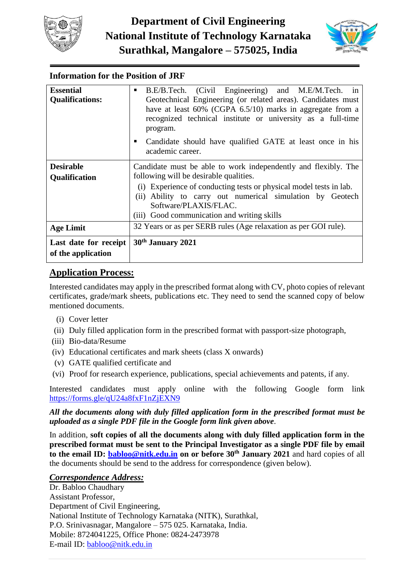



# **Information for the Position of JRF**

| <b>Essential</b>                            | B.E/B.Tech. (Civil Engineering) and M.E/M.Tech. in<br>٠                                                                                                                                                 |  |  |  |  |
|---------------------------------------------|---------------------------------------------------------------------------------------------------------------------------------------------------------------------------------------------------------|--|--|--|--|
| <b>Qualifications:</b>                      | Geotechnical Engineering (or related areas). Candidates must<br>have at least 60% (CGPA 6.5/10) marks in aggregate from a<br>recognized technical institute or university as a full-time<br>program.    |  |  |  |  |
|                                             | Candidate should have qualified GATE at least once in his<br>academic career.                                                                                                                           |  |  |  |  |
| <b>Desirable</b>                            | Candidate must be able to work independently and flexibly. The                                                                                                                                          |  |  |  |  |
| Qualification                               | following will be desirable qualities.                                                                                                                                                                  |  |  |  |  |
|                                             | (i) Experience of conducting tests or physical model tests in lab.<br>(ii) Ability to carry out numerical simulation by Geotech<br>Software/PLAXIS/FLAC.<br>(iii) Good communication and writing skills |  |  |  |  |
| <b>Age Limit</b>                            | 32 Years or as per SERB rules (Age relaxation as per GOI rule).                                                                                                                                         |  |  |  |  |
| Last date for receipt<br>of the application | 30 <sup>th</sup> January 2021                                                                                                                                                                           |  |  |  |  |

# **Application Process:**

Interested candidates may apply in the prescribed format along with CV, photo copies of relevant certificates, grade/mark sheets, publications etc. They need to send the scanned copy of below mentioned documents.

- (i) Cover letter
- (ii) Duly filled application form in the prescribed format with passport-size photograph,
- (iii) Bio-data/Resume
- (iv) Educational certificates and mark sheets (class X onwards)
- (v) GATE qualified certificate and
- (vi) Proof for research experience, publications, special achievements and patents, if any.

Interested candidates must apply online with the following Google form link <https://forms.gle/qU24a8fxF1nZjEXN9>

*All the documents along with duly filled application form in the prescribed format must be uploaded as a single PDF file in the Google form link given above*.

In addition, **soft copies of all the documents along with duly filled application form in the prescribed format must be sent to the Principal Investigator as a single PDF file by email to the email ID: [babloo@nitk.edu.in](mailto:babloo@nitk.edu.in) on or before 30th January 2021** and hard copies of all the documents should be send to the address for correspondence (given below).

### *Correspondence Address:*

Dr. Babloo Chaudhary Assistant Professor, Department of Civil Engineering, National Institute of Technology Karnataka (NITK), Surathkal, P.O. Srinivasnagar, Mangalore – 575 025. Karnataka, India. Mobile: 8724041225, Office Phone: 0824-2473978 E-mail ID: [babloo@nitk.edu.in](mailto:babloo@nitk.edu.in)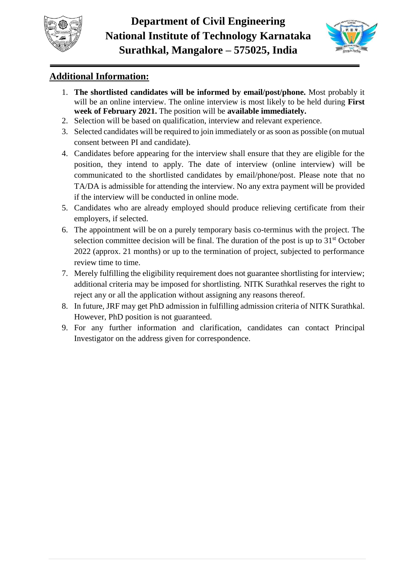



# **Additional Information:**

- 1. **The shortlisted candidates will be informed by email/post/phone.** Most probably it will be an online interview. The online interview is most likely to be held during **First week of February 2021.** The position will be **available immediately.**
- 2. Selection will be based on qualification, interview and relevant experience.
- 3. Selected candidates will be required to join immediately or as soon as possible (on mutual consent between PI and candidate).
- 4. Candidates before appearing for the interview shall ensure that they are eligible for the position, they intend to apply. The date of interview (online interview) will be communicated to the shortlisted candidates by email/phone/post. Please note that no TA/DA is admissible for attending the interview. No any extra payment will be provided if the interview will be conducted in online mode.
- 5. Candidates who are already employed should produce relieving certificate from their employers, if selected.
- 6. The appointment will be on a purely temporary basis co-terminus with the project. The selection committee decision will be final. The duration of the post is up to  $31<sup>st</sup>$  October 2022 (approx. 21 months) or up to the termination of project, subjected to performance review time to time.
- 7. Merely fulfilling the eligibility requirement does not guarantee shortlisting for interview; additional criteria may be imposed for shortlisting. NITK Surathkal reserves the right to reject any or all the application without assigning any reasons thereof.
- 8. In future, JRF may get PhD admission in fulfilling admission criteria of NITK Surathkal. However, PhD position is not guaranteed.
- 9. For any further information and clarification, candidates can contact Principal Investigator on the address given for correspondence.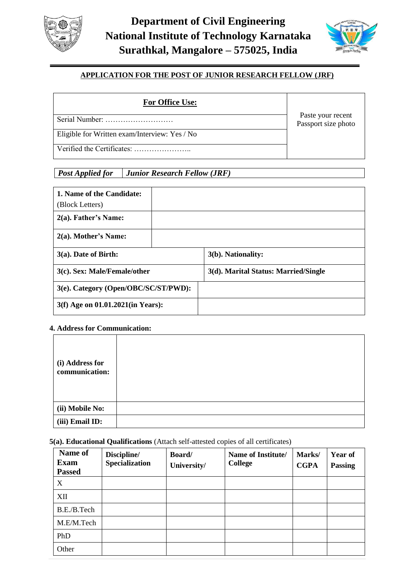



### **APPLICATION FOR THE POST OF JUNIOR RESEARCH FELLOW (JRF)**

### **For Office Use:**

Passport size photo Serial Number: ………………………

Eligible for Written exam/Interview: Yes / No

Verified the Certificates: …………………..

Paste your recent

## *Post Applied for Junior Research Fellow (JRF)*

| 1. Name of the Candidate:<br>(Block Letters) |                                      |
|----------------------------------------------|--------------------------------------|
| $2(a)$ . Father's Name:                      |                                      |
| $2(a)$ . Mother's Name:                      |                                      |
| $3(a)$ . Date of Birth:                      | 3(b). Nationality:                   |
| 3(c). Sex: Male/Female/other                 | 3(d). Marital Status: Married/Single |
| 3(e). Category (Open/OBC/SC/ST/PWD):         |                                      |
| 3(f) Age on 01.01.2021(in Years):            |                                      |

#### **4. Address for Communication:**

| (i) Address for<br>communication: |  |
|-----------------------------------|--|
| (ii) Mobile No:                   |  |
| (iii) Email ID:                   |  |

#### **5(a). Educational Qualifications** (Attach self-attested copies of all certificates)

| Name of<br><b>Exam</b><br><b>Passed</b> | Discipline/<br><b>Specialization</b> | Board/<br>University/ | Name of Institute/<br><b>College</b> | Marks/<br><b>CGPA</b> | Year of<br><b>Passing</b> |
|-----------------------------------------|--------------------------------------|-----------------------|--------------------------------------|-----------------------|---------------------------|
| X                                       |                                      |                       |                                      |                       |                           |
| XII                                     |                                      |                       |                                      |                       |                           |
| B.E./B.Tech                             |                                      |                       |                                      |                       |                           |
| M.E/M.Tech                              |                                      |                       |                                      |                       |                           |
| PhD                                     |                                      |                       |                                      |                       |                           |
| Other                                   |                                      |                       |                                      |                       |                           |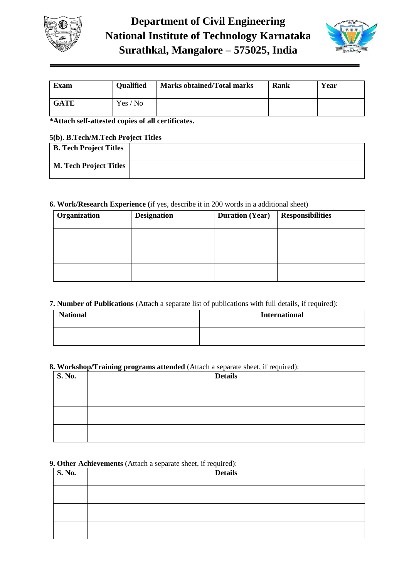



| <b>Exam</b> | <b>Qualified</b> | <b>Marks obtained/Total marks</b> | Rank | Year |
|-------------|------------------|-----------------------------------|------|------|
| <b>GATE</b> | Yes / No         |                                   |      |      |

**\*Attach self-attested copies of all certificates.**

#### **5(b). B.Tech/M.Tech Project Titles**

| $\sim$ ( $\sim$ ), $\sim$ , $\sim$ , $\sim$ , $\sim$ , $\sim$ , $\sim$ , $\sim$ , $\sim$ , $\sim$ , $\sim$ , $\sim$ , $\sim$ , $\sim$ |  |  |
|---------------------------------------------------------------------------------------------------------------------------------------|--|--|
| <b>B. Tech Project Titles</b>                                                                                                         |  |  |
| <b>M. Tech Project Titles</b>                                                                                                         |  |  |

#### **6. Work/Research Experience (**if yes, describe it in 200 words in a additional sheet)

| Organization | <b>Designation</b> | <b>Duration (Year)</b> | <b>Responsibilities</b> |
|--------------|--------------------|------------------------|-------------------------|
|              |                    |                        |                         |
|              |                    |                        |                         |
|              |                    |                        |                         |

#### **7. Number of Publications** (Attach a separate list of publications with full details, if required):

| <b>National</b> | <b>International</b> |
|-----------------|----------------------|
|                 |                      |

#### **8. Workshop/Training programs attended** (Attach a separate sheet, if required):

| <b>S. No.</b> | <b>Details</b> |  |  |
|---------------|----------------|--|--|
|               |                |  |  |
|               |                |  |  |
|               |                |  |  |

### **9. Other Achievements** (Attach a separate sheet, if required):

| <b>S. No.</b> | <b>Details</b> |
|---------------|----------------|
|               |                |
|               |                |
|               |                |